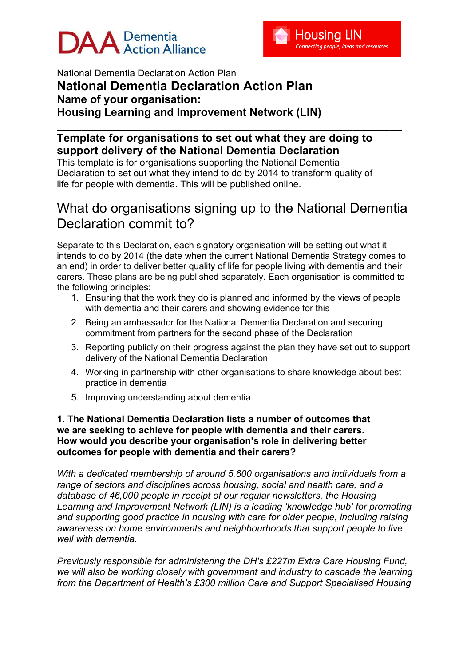# $\mathsf{DAA}$  Dementia



National Dementia Declaration Action Plan **National Dementia Declaration Action Plan Name of your organisation: Housing Learning and Improvement Network (LIN)** 

### **\_\_\_\_\_\_\_\_\_\_\_\_\_\_\_\_\_\_\_\_\_\_\_\_\_\_\_\_\_\_\_\_\_\_\_\_\_\_\_\_\_\_\_\_\_\_\_\_\_\_\_\_\_\_\_\_ Template for organisations to set out what they are doing to support delivery of the National Dementia Declaration**

This template is for organisations supporting the National Dementia Declaration to set out what they intend to do by 2014 to transform quality of life for people with dementia. This will be published online.

# What do organisations signing up to the National Dementia Declaration commit to?

Separate to this Declaration, each signatory organisation will be setting out what it intends to do by 2014 (the date when the current National Dementia Strategy comes to an end) in order to deliver better quality of life for people living with dementia and their carers. These plans are being published separately. Each organisation is committed to the following principles:

- 1. Ensuring that the work they do is planned and informed by the views of people with dementia and their carers and showing evidence for this
- 2. Being an ambassador for the National Dementia Declaration and securing commitment from partners for the second phase of the Declaration
- 3. Reporting publicly on their progress against the plan they have set out to support delivery of the National Dementia Declaration
- 4. Working in partnership with other organisations to share knowledge about best practice in dementia
- 5. Improving understanding about dementia.

#### **1. The National Dementia Declaration lists a number of outcomes that we are seeking to achieve for people with dementia and their carers. How would you describe your organisation's role in delivering better outcomes for people with dementia and their carers?**

*With a dedicated membership of around 5,600 organisations and individuals from a range of sectors and disciplines across housing, social and health care, and a database of 46,000 people in receipt of our regular newsletters, the Housing Learning and Improvement Network (LIN) is a leading 'knowledge hub' for promoting and supporting good practice in housing with care for older people, including raising awareness on home environments and neighbourhoods that support people to live well with dementia.* 

*Previously responsible for administering the DH's £227m Extra Care Housing Fund, we will also be working closely with government and industry to cascade the learning from the Department of Health's £300 million Care and Support Specialised Housing*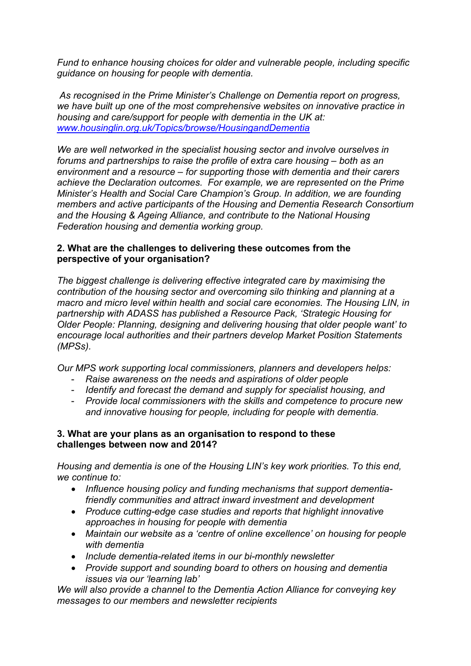*Fund to enhance housing choices for older and vulnerable people, including specific guidance on housing for people with dementia.* 

 *As recognised in the Prime Minister's Challenge on Dementia report on progress, we have built up one of the most comprehensive websites on innovative practice in housing and care/support for people with dementia in the UK at: www.housinglin.org.uk/Topics/browse/HousingandDementia* 

*We are well networked in the specialist housing sector and involve ourselves in forums and partnerships to raise the profile of extra care housing – both as an environment and a resource – for supporting those with dementia and their carers achieve the Declaration outcomes. For example, we are represented on the Prime Minister's Health and Social Care Champion's Group. In addition, we are founding members and active participants of the Housing and Dementia Research Consortium and the Housing & Ageing Alliance, and contribute to the National Housing Federation housing and dementia working group.* 

#### **2. What are the challenges to delivering these outcomes from the perspective of your organisation?**

*The biggest challenge is delivering effective integrated care by maximising the contribution of the housing sector and overcoming silo thinking and planning at a macro and micro level within health and social care economies. The Housing LIN, in partnership with ADASS has published a Resource Pack, 'Strategic Housing for Older People: Planning, designing and delivering housing that older people want' to encourage local authorities and their partners develop Market Position Statements (MPSs).* 

*Our MPS work supporting local commissioners, planners and developers helps:* 

- *Raise awareness on the needs and aspirations of older people*
- *Identify and forecast the demand and supply for specialist housing, and*
- *Provide local commissioners with the skills and competence to procure new and innovative housing for people, including for people with dementia.*

#### **3. What are your plans as an organisation to respond to these challenges between now and 2014?**

*Housing and dementia is one of the Housing LIN's key work priorities. To this end, we continue to:* 

- *Influence housing policy and funding mechanisms that support dementiafriendly communities and attract inward investment and development*
- *Produce cutting-edge case studies and reports that highlight innovative approaches in housing for people with dementia*
- *Maintain our website as a 'centre of online excellence' on housing for people with dementia*
- *Include dementia-related items in our bi-monthly newsletter*
- *Provide support and sounding board to others on housing and dementia issues via our 'learning lab'*

*We will also provide a channel to the Dementia Action Alliance for conveying key messages to our members and newsletter recipients*